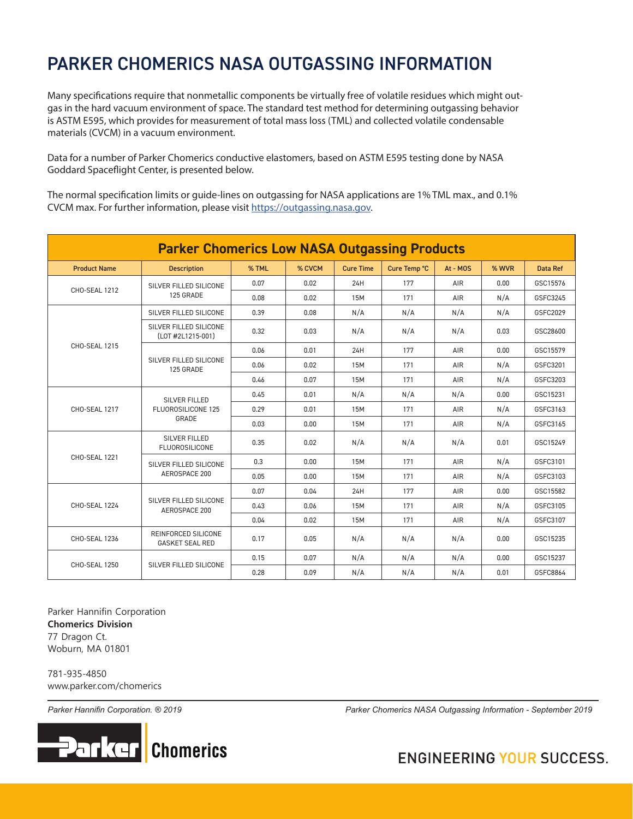# PARKER CHOMERICS NASA OUTGASSING INFORMATION

Many specifications require that nonmetallic components be virtually free of volatile residues which might outgas in the hard vacuum environment of space. The standard test method for determining outgassing behavior is ASTM E595, which provides for measurement of total mass loss (TML) and collected volatile condensable materials (CVCM) in a vacuum environment.

Data for a number of Parker Chomerics conductive elastomers, based on ASTM E595 testing done by NASA Goddard Spaceflight Center, is presented below.

The normal specification limits or guide-lines on outgassing for NASA applications are 1% TML max., and 0.1% CVCM max. For further information, please visit https://outgassing.nasa.gov.

| <b>Parker Chomerics Low NASA Outgassing Products</b> |                                                            |       |        |                  |              |          |       |                 |  |  |
|------------------------------------------------------|------------------------------------------------------------|-------|--------|------------------|--------------|----------|-------|-----------------|--|--|
| <b>Product Name</b>                                  | <b>Description</b>                                         | % TML | % CVCM | <b>Cure Time</b> | Cure Temp °C | At - MOS | % WVR | <b>Data Ref</b> |  |  |
| <b>CHO-SEAL 1212</b>                                 | SILVER FILLED SILICONE<br>125 GRADE                        | 0.07  | 0.02   | 24H              | 177          | AIR      | 0.00  | GSC15576        |  |  |
|                                                      |                                                            | 0.08  | 0.02   | 15M              | 171          | AIR      | N/A   | GSFC3245        |  |  |
| <b>CHO-SEAL 1215</b>                                 | SILVER FILLED SILICONE                                     | 0.39  | 0.08   | N/A              | N/A          | N/A      | N/A   | GSFC2029        |  |  |
|                                                      | SILVER FILLED SILICONE<br>(LOT #2L1215-001)                | 0.32  | 0.03   | N/A              | N/A          | N/A      | 0.03  | GSC28600        |  |  |
|                                                      | SILVER FILLED SILICONE<br>125 GRADE                        | 0.06  | 0.01   | 24H              | 177          | AIR      | 0.00  | GSC15579        |  |  |
|                                                      |                                                            | 0.06  | 0.02   | 15M              | 171          | AIR      | N/A   | GSFC3201        |  |  |
|                                                      |                                                            | 0.46  | 0.07   | 15M              | 171          | AIR      | N/A   | GSFC3203        |  |  |
| <b>CHO-SEAL 1217</b>                                 | <b>SILVER FILLED</b><br><b>FLUOROSILICONE 125</b><br>GRADE | 0.45  | 0.01   | N/A              | N/A          | N/A      | 0.00  | GSC15231        |  |  |
|                                                      |                                                            | 0.29  | 0.01   | 15M              | 171          | AIR      | N/A   | GSFC3163        |  |  |
|                                                      |                                                            | 0.03  | 0.00   | <b>15M</b>       | 171          | AIR      | N/A   | GSFC3165        |  |  |
| <b>CHO-SEAL 1221</b>                                 | SILVER FILLED<br><b>FLUOROSILICONE</b>                     | 0.35  | 0.02   | N/A              | N/A          | N/A      | 0.01  | GSC15249        |  |  |
|                                                      | SILVER FILLED SILICONE<br>AEROSPACE 200                    | 0.3   | 0.00   | 15M              | 171          | AIR      | N/A   | GSFC3101        |  |  |
|                                                      |                                                            | 0.05  | 0.00   | <b>15M</b>       | 171          | AIR      | N/A   | GSFC3103        |  |  |
| <b>CHO-SEAL 1224</b>                                 | SILVER FILLED SILICONE<br>AEROSPACE 200                    | 0.07  | 0.04   | 24H              | 177          | AIR      | 0.00  | GSC15582        |  |  |
|                                                      |                                                            | 0.43  | 0.06   | 15M              | 171          | AIR      | N/A   | GSFC3105        |  |  |
|                                                      |                                                            | 0.04  | 0.02   | 15M              | 171          | AIR      | N/A   | GSFC3107        |  |  |
| <b>CHO-SEAL 1236</b>                                 | REINFORCED SILICONE<br><b>GASKET SEAL RED</b>              | 0.17  | 0.05   | N/A              | N/A          | N/A      | 0.00  | GSC15235        |  |  |
| <b>CHO-SEAL 1250</b>                                 | SILVER FILLED SILICONE                                     | 0.15  | 0.07   | N/A              | N/A          | N/A      | 0.00  | GSC15237        |  |  |
|                                                      |                                                            | 0.28  | 0.09   | N/A              | N/A          | N/A      | 0.01  | GSFC8864        |  |  |

Parker Hannifin Corporation **Chomerics Division** 77 Dragon Ct. Woburn, MA 01801

781-935-4850 www.parker.com/chomerics



*Parker Hannifin Corporation. ® 2019 Parker Chomerics NASA Outgassing Information - September 2019*

### **ENGINEERING YOUR SUCCESS.**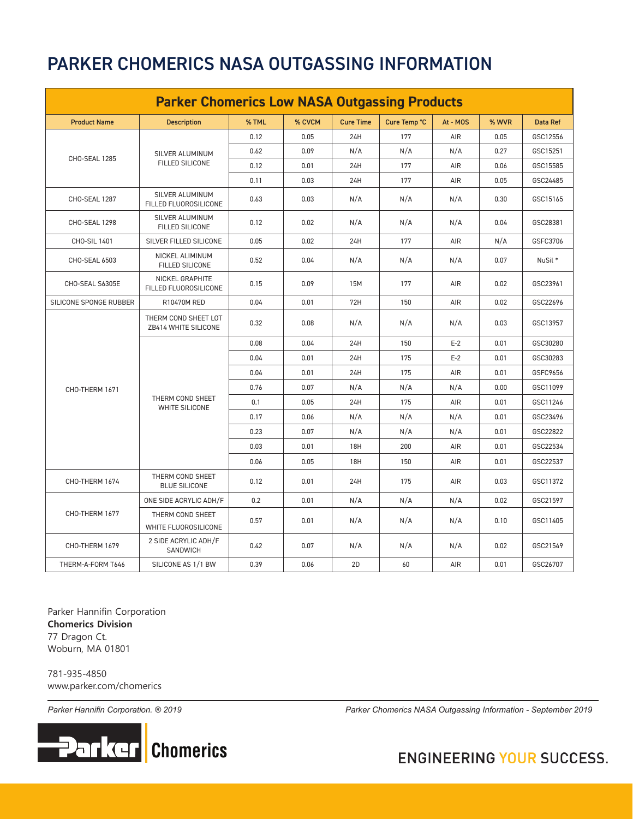## PARKER CHOMERICS NASA OUTGASSING INFORMATION

| <b>Parker Chomerics Low NASA Outgassing Products</b> |                                              |       |        |                  |              |          |       |                 |
|------------------------------------------------------|----------------------------------------------|-------|--------|------------------|--------------|----------|-------|-----------------|
| <b>Product Name</b>                                  | <b>Description</b>                           | % TML | % CVCM | <b>Cure Time</b> | Cure Temp °C | At - MOS | % WVR | <b>Data Ref</b> |
| CHO-SEAL 1285                                        | SILVER ALUMINUM<br>FILLED SILICONE           | 0.12  | 0.05   | 24H              | 177          | AIR      | 0.05  | GSC12556        |
|                                                      |                                              | 0.62  | 0.09   | N/A              | N/A          | N/A      | 0.27  | GSC15251        |
|                                                      |                                              | 0.12  | 0.01   | 24H              | 177          | AIR      | 0.06  | GSC15585        |
|                                                      |                                              | 0.11  | 0.03   | 24H              | 177          | AIR      | 0.05  | GSC24485        |
| CHO-SEAL 1287                                        | SILVER ALUMINUM<br>FILLED FLUOROSILICONE     | 0.63  | 0.03   | N/A              | N/A          | N/A      | 0.30  | GSC15165        |
| CHO-SEAL 1298                                        | SILVER ALUMINUM<br><b>FILLED SILICONE</b>    | 0.12  | 0.02   | N/A              | N/A          | N/A      | 0.04  | GSC28381        |
| CHO-SIL 1401                                         | SILVER FILLED SILICONE                       | 0.05  | 0.02   | 24H              | 177          | AIR      | N/A   | GSFC3706        |
| CHO-SEAL 6503                                        | NICKEL ALIMINUM<br><b>FILLED SILICONE</b>    | 0.52  | 0.04   | N/A              | N/A          | N/A      | 0.07  | NuSil *         |
| CHO-SEAL S6305E                                      | NICKEL GRAPHITE<br>FILLED FLUOROSILICONE     | 0.15  | 0.09   | 15M              | 177          | AIR      | 0.02  | GSC23961        |
| SILICONE SPONGE RUBBER                               | <b>R10470M RED</b>                           | 0.04  | 0.01   | 72H              | 150          | AIR      | 0.02  | GSC22696        |
|                                                      | THERM COND SHEET LOT<br>ZB414 WHITE SILICONE | 0.32  | 0.08   | N/A              | N/A          | N/A      | 0.03  | GSC13957        |
|                                                      | THERM COND SHEET<br><b>WHITE SILICONE</b>    | 0.08  | 0.04   | 24H              | 150          | $E-2$    | 0.01  | GSC30280        |
|                                                      |                                              | 0.04  | 0.01   | 24H              | 175          | $E-2$    | 0.01  | GSC30283        |
|                                                      |                                              | 0.04  | 0.01   | 24H              | 175          | AIR      | 0.01  | GSFC9656        |
| CHO-THERM 1671                                       |                                              | 0.76  | 0.07   | N/A              | N/A          | N/A      | 0.00  | GSC11099        |
|                                                      |                                              | 0.1   | 0.05   | 24H              | 175          | AIR      | 0.01  | GSC11246        |
|                                                      |                                              | 0.17  | 0.06   | N/A              | N/A          | N/A      | 0.01  | GSC23496        |
|                                                      |                                              | 0.23  | 0.07   | N/A              | N/A          | N/A      | 0.01  | GSC22822        |
|                                                      |                                              | 0.03  | 0.01   | 18H              | 200          | AIR      | 0.01  | GSC22534        |
|                                                      |                                              | 0.06  | 0.05   | 18H              | 150          | AIR      | 0.01  | GSC22537        |
| CHO-THERM 1674                                       | THERM COND SHEET<br><b>BLUE SILICONE</b>     | 0.12  | 0.01   | 24H              | 175          | AIR      | 0.03  | GSC11372        |
| CHO-THERM 1677                                       | ONE SIDE ACRYLIC ADH/F                       | 0.2   | 0.01   | N/A              | N/A          | N/A      | 0.02  | GSC21597        |
|                                                      | THERM COND SHEET<br>WHITE FLUOROSILICONE     | 0.57  | 0.01   | N/A              | N/A          | N/A      | 0.10  | GSC11405        |
| CHO-THERM 1679                                       | 2 SIDE ACRYLIC ADH/F<br><b>SANDWICH</b>      | 0.42  | 0.07   | N/A              | N/A          | N/A      | 0.02  | GSC21549        |
| THERM-A-FORM T646                                    | SILICONE AS 1/1 BW                           | 0.39  | 0.06   | 2D               | 60           | AIR      | 0.01  | GSC26707        |

Parker Hannifin Corporation **Chomerics Division** 77 Dragon Ct. Woburn, MA 01801

781-935-4850 www.parker.com/chomerics



*Parker Hannifin Corporation. ® 2019 Parker Chomerics NASA Outgassing Information - September 2019*

#### **ENGINEERING YOUR SUCCESS.**